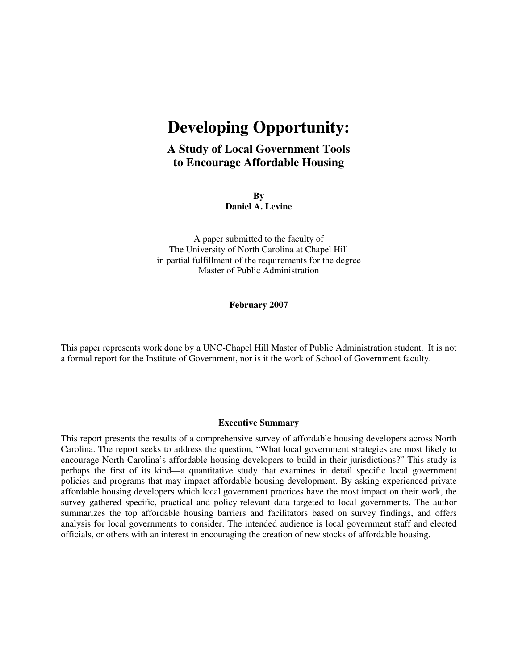# **Developing Opportunity:**

# **A Study of Local Government Tools to Encourage Affordable Housing**

**By Daniel A. Levine** 

A paper submitted to the faculty of The University of North Carolina at Chapel Hill in partial fulfillment of the requirements for the degree Master of Public Administration

**February 2007** 

This paper represents work done by a UNC-Chapel Hill Master of Public Administration student. It is not a formal report for the Institute of Government, nor is it the work of School of Government faculty.

#### **Executive Summary**

This report presents the results of a comprehensive survey of affordable housing developers across North Carolina. The report seeks to address the question, "What local government strategies are most likely to encourage North Carolina's affordable housing developers to build in their jurisdictions?" This study is perhaps the first of its kind—a quantitative study that examines in detail specific local government policies and programs that may impact affordable housing development. By asking experienced private affordable housing developers which local government practices have the most impact on their work, the survey gathered specific, practical and policy-relevant data targeted to local governments. The author summarizes the top affordable housing barriers and facilitators based on survey findings, and offers analysis for local governments to consider. The intended audience is local government staff and elected officials, or others with an interest in encouraging the creation of new stocks of affordable housing.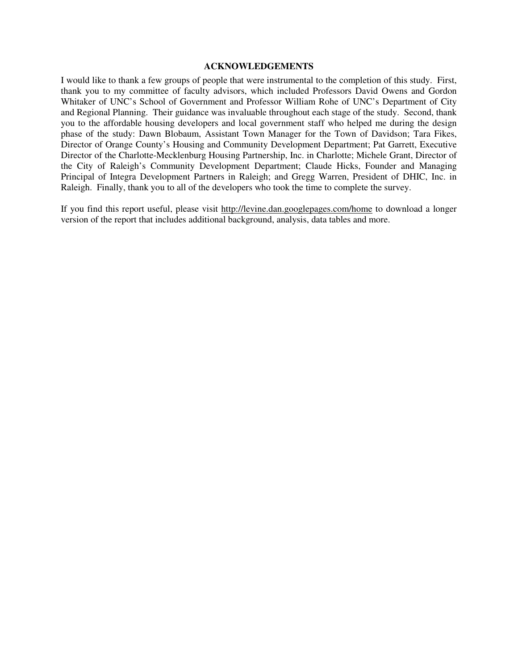#### **ACKNOWLEDGEMENTS**

I would like to thank a few groups of people that were instrumental to the completion of this study. First, thank you to my committee of faculty advisors, which included Professors David Owens and Gordon Whitaker of UNC's School of Government and Professor William Rohe of UNC's Department of City and Regional Planning. Their guidance was invaluable throughout each stage of the study. Second, thank you to the affordable housing developers and local government staff who helped me during the design phase of the study: Dawn Blobaum, Assistant Town Manager for the Town of Davidson; Tara Fikes, Director of Orange County's Housing and Community Development Department; Pat Garrett, Executive Director of the Charlotte-Mecklenburg Housing Partnership, Inc. in Charlotte; Michele Grant, Director of the City of Raleigh's Community Development Department; Claude Hicks, Founder and Managing Principal of Integra Development Partners in Raleigh; and Gregg Warren, President of DHIC, Inc. in Raleigh. Finally, thank you to all of the developers who took the time to complete the survey.

If you find this report useful, please visit http://levine.dan.googlepages.com/home to download a longer version of the report that includes additional background, analysis, data tables and more.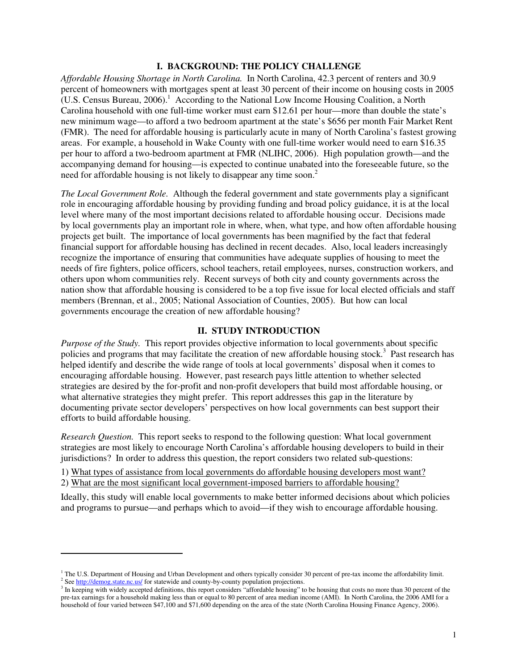#### **I. BACKGROUND: THE POLICY CHALLENGE**

*Affordable Housing Shortage in North Carolina.* In North Carolina, 42.3 percent of renters and 30.9 percent of homeowners with mortgages spent at least 30 percent of their income on housing costs in 2005  $(U.S.$  Census Bureau, 2006).<sup>1</sup> According to the National Low Income Housing Coalition, a North Carolina household with one full-time worker must earn \$12.61 per hour—more than double the state's new minimum wage—to afford a two bedroom apartment at the state's \$656 per month Fair Market Rent (FMR). The need for affordable housing is particularly acute in many of North Carolina's fastest growing areas. For example, a household in Wake County with one full-time worker would need to earn \$16.35 per hour to afford a two-bedroom apartment at FMR (NLIHC, 2006). High population growth—and the accompanying demand for housing—is expected to continue unabated into the foreseeable future, so the need for affordable housing is not likely to disappear any time soon.<sup>2</sup>

*The Local Government Role.* Although the federal government and state governments play a significant role in encouraging affordable housing by providing funding and broad policy guidance, it is at the local level where many of the most important decisions related to affordable housing occur. Decisions made by local governments play an important role in where, when, what type, and how often affordable housing projects get built. The importance of local governments has been magnified by the fact that federal financial support for affordable housing has declined in recent decades. Also, local leaders increasingly recognize the importance of ensuring that communities have adequate supplies of housing to meet the needs of fire fighters, police officers, school teachers, retail employees, nurses, construction workers, and others upon whom communities rely. Recent surveys of both city and county governments across the nation show that affordable housing is considered to be a top five issue for local elected officials and staff members (Brennan, et al., 2005; National Association of Counties, 2005). But how can local governments encourage the creation of new affordable housing?

# **II. STUDY INTRODUCTION**

*Purpose of the Study.* This report provides objective information to local governments about specific policies and programs that may facilitate the creation of new affordable housing stock.<sup>3</sup> Past research has helped identify and describe the wide range of tools at local governments' disposal when it comes to encouraging affordable housing. However, past research pays little attention to whether selected strategies are desired by the for-profit and non-profit developers that build most affordable housing, or what alternative strategies they might prefer. This report addresses this gap in the literature by documenting private sector developers' perspectives on how local governments can best support their efforts to build affordable housing.

*Research Question.* This report seeks to respond to the following question: What local government strategies are most likely to encourage North Carolina's affordable housing developers to build in their jurisdictions?In order to address this question, the report considers two related sub-questions:

1) What types of assistance from local governments do affordable housing developers most want? 2) What are the most significant local government-imposed barriers to affordable housing?

Ideally, this study will enable local governments to make better informed decisions about which policies and programs to pursue—and perhaps which to avoid—if they wish to encourage affordable housing.

 $\overline{a}$ 

<sup>&</sup>lt;sup>1</sup> The U.S. Department of Housing and Urban Development and others typically consider 30 percent of pre-tax income the affordability limit. <sup>2</sup> See http://demog.state.nc.us/ for statewide and county-by-county population projections.

<sup>&</sup>lt;sup>3</sup> In keeping with widely accepted definitions, this report considers "affordable housing" to be housing that costs no more than 30 percent of the pre-tax earnings for a household making less than or equal to 80 percent of area median income (AMI). In North Carolina, the 2006 AMI for a household of four varied between \$47,100 and \$71,600 depending on the area of the state (North Carolina Housing Finance Agency, 2006).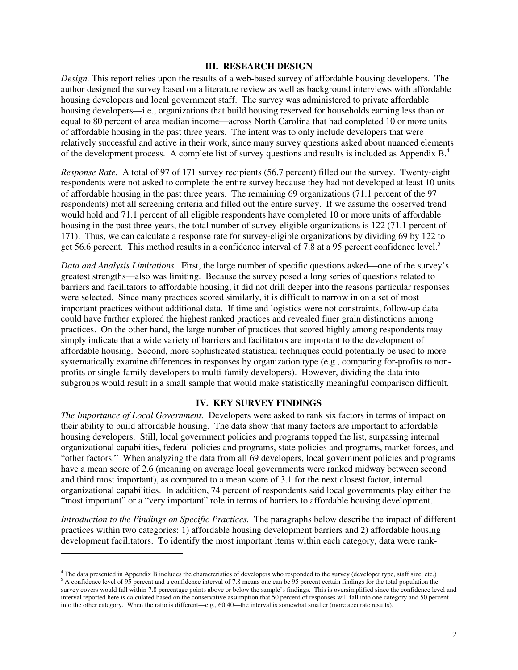#### **III. RESEARCH DESIGN**

*Design.* This report relies upon the results of a web-based survey of affordable housing developers. The author designed the survey based on a literature review as well as background interviews with affordable housing developers and local government staff. The survey was administered to private affordable housing developers—i.e., organizations that build housing reserved for households earning less than or equal to 80 percent of area median income—across North Carolina that had completed 10 or more units of affordable housing in the past three years. The intent was to only include developers that were relatively successful and active in their work, since many survey questions asked about nuanced elements of the development process. A complete list of survey questions and results is included as Appendix  $B<sup>4</sup>$ .

*Response Rate.* A total of 97 of 171 survey recipients (56.7 percent) filled out the survey. Twenty-eight respondents were not asked to complete the entire survey because they had not developed at least 10 units of affordable housing in the past three years. The remaining 69 organizations (71.1 percent of the 97 respondents) met all screening criteria and filled out the entire survey. If we assume the observed trend would hold and 71.1 percent of all eligible respondents have completed 10 or more units of affordable housing in the past three years, the total number of survey-eligible organizations is 122 (71.1 percent of 171). Thus, we can calculate a response rate for survey-eligible organizations by dividing 69 by 122 to get 56.6 percent. This method results in a confidence interval of 7.8 at a 95 percent confidence level.<sup>5</sup>

*Data and Analysis Limitations.* First, the large number of specific questions asked—one of the survey's greatest strengths—also was limiting. Because the survey posed a long series of questions related to barriers and facilitators to affordable housing, it did not drill deeper into the reasons particular responses were selected. Since many practices scored similarly, it is difficult to narrow in on a set of most important practices without additional data. If time and logistics were not constraints, follow-up data could have further explored the highest ranked practices and revealed finer grain distinctions among practices. On the other hand, the large number of practices that scored highly among respondents may simply indicate that a wide variety of barriers and facilitators are important to the development of affordable housing. Second, more sophisticated statistical techniques could potentially be used to more systematically examine differences in responses by organization type (e.g., comparing for-profits to nonprofits or single-family developers to multi-family developers). However, dividing the data into subgroups would result in a small sample that would make statistically meaningful comparison difficult.

#### **IV. KEY SURVEY FINDINGS**

*The Importance of Local Government.* Developers were asked to rank six factors in terms of impact on their ability to build affordable housing. The data show that many factors are important to affordable housing developers. Still, local government policies and programs topped the list, surpassing internal organizational capabilities, federal policies and programs, state policies and programs, market forces, and "other factors." When analyzing the data from all 69 developers, local government policies and programs have a mean score of 2.6 (meaning on average local governments were ranked midway between second and third most important), as compared to a mean score of 3.1 for the next closest factor, internal organizational capabilities. In addition, 74 percent of respondents said local governments play either the "most important" or a "very important" role in terms of barriers to affordable housing development.

*Introduction to the Findings on Specific Practices.* The paragraphs below describe the impact of different practices within two categories: 1) affordable housing development barriers and 2) affordable housing development facilitators. To identify the most important items within each category, data were rank-

 $\overline{a}$ 

<sup>&</sup>lt;sup>4</sup> The data presented in Appendix B includes the characteristics of developers who responded to the survey (developer type, staff size, etc.)  $<sup>5</sup>$  A confidence level of 95 percent and a confidence interval of 7.8 means one can be 95 percent certain findings for the total population the</sup> survey covers would fall within 7.8 percentage points above or below the sample's findings. This is oversimplified since the confidence level and interval reported here is calculated based on the conservative assumption that 50 percent of responses will fall into one category and 50 percent into the other category. When the ratio is different—e.g., 60:40—the interval is somewhat smaller (more accurate results).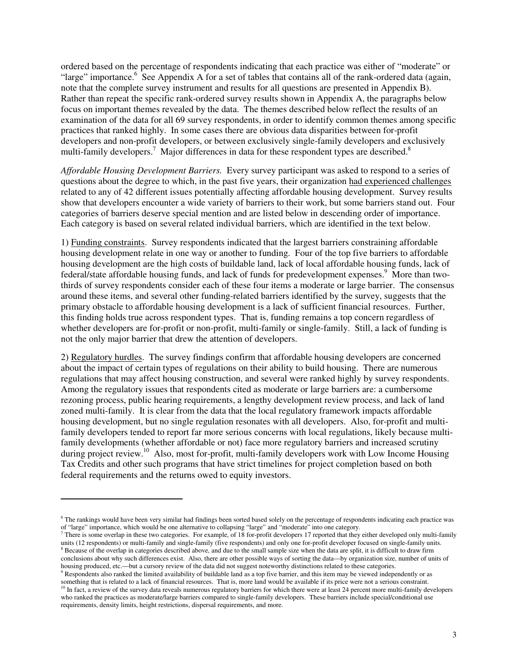ordered based on the percentage of respondents indicating that each practice was either of "moderate" or "large" importance.<sup>6</sup> See Appendix A for a set of tables that contains all of the rank-ordered data (again, note that the complete survey instrument and results for all questions are presented in Appendix B). Rather than repeat the specific rank-ordered survey results shown in Appendix A, the paragraphs below focus on important themes revealed by the data. The themes described below reflect the results of an examination of the data for all 69 survey respondents, in order to identify common themes among specific practices that ranked highly. In some cases there are obvious data disparities between for-profit developers and non-profit developers, or between exclusively single-family developers and exclusively multi-family developers.<sup>7</sup> Major differences in data for these respondent types are described.<sup>8</sup>

*Affordable Housing Development Barriers.* Every survey participant was asked to respond to a series of questions about the degree to which, in the past five years, their organization had experienced challenges related to any of 42 different issues potentially affecting affordable housing development. Survey results show that developers encounter a wide variety of barriers to their work, but some barriers stand out. Four categories of barriers deserve special mention and are listed below in descending order of importance. Each category is based on several related individual barriers, which are identified in the text below.

1) Funding constraints. Survey respondents indicated that the largest barriers constraining affordable housing development relate in one way or another to funding. Four of the top five barriers to affordable housing development are the high costs of buildable land, lack of local affordable housing funds, lack of federal/state affordable housing funds, and lack of funds for predevelopment expenses.<sup>9</sup> More than twothirds of survey respondents consider each of these four items a moderate or large barrier. The consensus around these items, and several other funding-related barriers identified by the survey, suggests that the primary obstacle to affordable housing development is a lack of sufficient financial resources. Further, this finding holds true across respondent types. That is, funding remains a top concern regardless of whether developers are for-profit or non-profit, multi-family or single-family. Still, a lack of funding is not the only major barrier that drew the attention of developers.

2) Regulatory hurdles. The survey findings confirm that affordable housing developers are concerned about the impact of certain types of regulations on their ability to build housing. There are numerous regulations that may affect housing construction, and several were ranked highly by survey respondents. Among the regulatory issues that respondents cited as moderate or large barriers are: a cumbersome rezoning process, public hearing requirements, a lengthy development review process, and lack of land zoned multi-family. It is clear from the data that the local regulatory framework impacts affordable housing development, but no single regulation resonates with all developers. Also, for-profit and multifamily developers tended to report far more serious concerns with local regulations, likely because multifamily developments (whether affordable or not) face more regulatory barriers and increased scrutiny during project review.<sup>10</sup> Also, most for-profit, multi-family developers work with Low Income Housing Tax Credits and other such programs that have strict timelines for project completion based on both federal requirements and the returns owed to equity investors.

 $\overline{a}$ 

<sup>&</sup>lt;sup>6</sup> The rankings would have been very similar had findings been sorted based solely on the percentage of respondents indicating each practice was of "large" importance, which would be one alternative to collapsing "large" and "moderate" into one category.<br><sup>7</sup> Thara is some overlen in these two estacerise. For example, of 18 for profit developers 17 reported that the

There is some overlap in these two categories. For example, of 18 for-profit developers 17 reported that they either developed only multi-family units (12 respondents) or multi-family and single-family (five respondents) and only one for-profit developer focused on single-family units. <sup>8</sup> Because of the overlap in categories described above, and due to the small sample size when the data are split, it is difficult to draw firm conclusions about why such differences exist. Also, there are other possible ways of sorting the data—by organization size, number of units of housing produced, etc.—but a cursory review of the data did not suggest noteworthy distinctions related to these categories.

<sup>&</sup>lt;sup>9</sup> Respondents also ranked the limited availability of buildable land as a top five barrier, and this item may be viewed independently or as something that is related to a lack of financial resources. That is, more land would be available if its price were not a serious constraint.

 $10$  In fact, a review of the survey data reveals numerous regulatory barriers for which there were at least 24 percent more multi-family developers who ranked the practices as moderate/large barriers compared to single-family developers. These barriers include special/conditional use requirements, density limits, height restrictions, dispersal requirements, and more.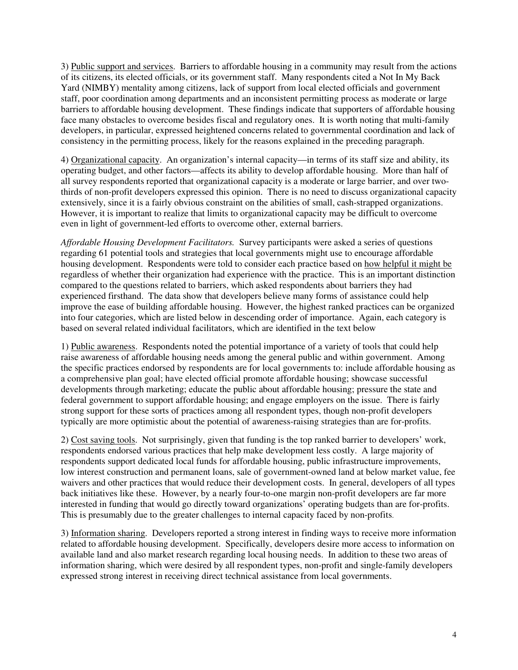3) Public support and services. Barriers to affordable housing in a community may result from the actions of its citizens, its elected officials, or its government staff. Many respondents cited a Not In My Back Yard (NIMBY) mentality among citizens, lack of support from local elected officials and government staff, poor coordination among departments and an inconsistent permitting process as moderate or large barriers to affordable housing development. These findings indicate that supporters of affordable housing face many obstacles to overcome besides fiscal and regulatory ones. It is worth noting that multi-family developers, in particular, expressed heightened concerns related to governmental coordination and lack of consistency in the permitting process, likely for the reasons explained in the preceding paragraph.

4) Organizational capacity. An organization's internal capacity—in terms of its staff size and ability, its operating budget, and other factors—affects its ability to develop affordable housing. More than half of all survey respondents reported that organizational capacity is a moderate or large barrier, and over twothirds of non-profit developers expressed this opinion. There is no need to discuss organizational capacity extensively, since it is a fairly obvious constraint on the abilities of small, cash-strapped organizations. However, it is important to realize that limits to organizational capacity may be difficult to overcome even in light of government-led efforts to overcome other, external barriers.

*Affordable Housing Development Facilitators.* Survey participants were asked a series of questions regarding 61 potential tools and strategies that local governments might use to encourage affordable housing development. Respondents were told to consider each practice based on how helpful it might be regardless of whether their organization had experience with the practice. This is an important distinction compared to the questions related to barriers, which asked respondents about barriers they had experienced firsthand. The data show that developers believe many forms of assistance could help improve the ease of building affordable housing. However, the highest ranked practices can be organized into four categories, which are listed below in descending order of importance. Again, each category is based on several related individual facilitators, which are identified in the text below

1) Public awareness. Respondents noted the potential importance of a variety of tools that could help raise awareness of affordable housing needs among the general public and within government. Among the specific practices endorsed by respondents are for local governments to: include affordable housing as a comprehensive plan goal; have elected official promote affordable housing; showcase successful developments through marketing; educate the public about affordable housing; pressure the state and federal government to support affordable housing; and engage employers on the issue. There is fairly strong support for these sorts of practices among all respondent types, though non-profit developers typically are more optimistic about the potential of awareness-raising strategies than are for-profits.

2) Cost saving tools. Not surprisingly, given that funding is the top ranked barrier to developers' work, respondents endorsed various practices that help make development less costly. A large majority of respondents support dedicated local funds for affordable housing, public infrastructure improvements, low interest construction and permanent loans, sale of government-owned land at below market value, fee waivers and other practices that would reduce their development costs. In general, developers of all types back initiatives like these. However, by a nearly four-to-one margin non-profit developers are far more interested in funding that would go directly toward organizations' operating budgets than are for-profits. This is presumably due to the greater challenges to internal capacity faced by non-profits.

3) Information sharing. Developers reported a strong interest in finding ways to receive more information related to affordable housing development. Specifically, developers desire more access to information on available land and also market research regarding local housing needs. In addition to these two areas of information sharing, which were desired by all respondent types, non-profit and single-family developers expressed strong interest in receiving direct technical assistance from local governments.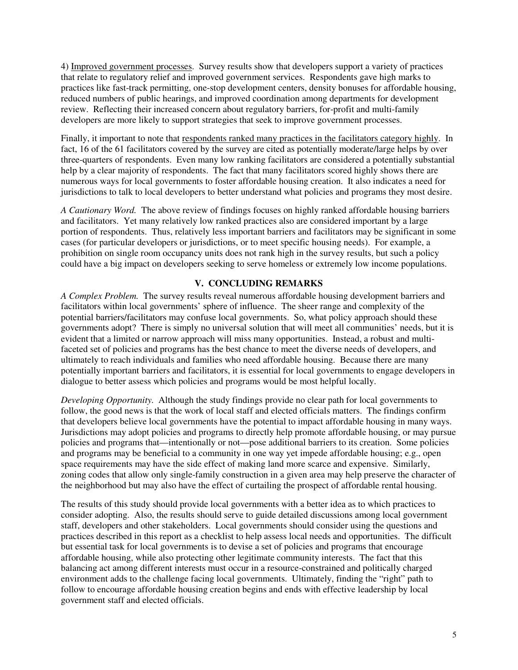4) Improved government processes. Survey results show that developers support a variety of practices that relate to regulatory relief and improved government services. Respondents gave high marks to practices like fast-track permitting, one-stop development centers, density bonuses for affordable housing, reduced numbers of public hearings, and improved coordination among departments for development review. Reflecting their increased concern about regulatory barriers, for-profit and multi-family developers are more likely to support strategies that seek to improve government processes.

Finally, it important to note that respondents ranked many practices in the facilitators category highly. In fact, 16 of the 61 facilitators covered by the survey are cited as potentially moderate/large helps by over three-quarters of respondents. Even many low ranking facilitators are considered a potentially substantial help by a clear majority of respondents. The fact that many facilitators scored highly shows there are numerous ways for local governments to foster affordable housing creation. It also indicates a need for jurisdictions to talk to local developers to better understand what policies and programs they most desire.

*A Cautionary Word.* The above review of findings focuses on highly ranked affordable housing barriers and facilitators. Yet many relatively low ranked practices also are considered important by a large portion of respondents. Thus, relatively less important barriers and facilitators may be significant in some cases (for particular developers or jurisdictions, or to meet specific housing needs). For example, a prohibition on single room occupancy units does not rank high in the survey results, but such a policy could have a big impact on developers seeking to serve homeless or extremely low income populations.

# **V. CONCLUDING REMARKS**

*A Complex Problem.* The survey results reveal numerous affordable housing development barriers and facilitators within local governments' sphere of influence. The sheer range and complexity of the potential barriers/facilitators may confuse local governments. So, what policy approach should these governments adopt? There is simply no universal solution that will meet all communities' needs, but it is evident that a limited or narrow approach will miss many opportunities. Instead, a robust and multifaceted set of policies and programs has the best chance to meet the diverse needs of developers, and ultimately to reach individuals and families who need affordable housing. Because there are many potentially important barriers and facilitators, it is essential for local governments to engage developers in dialogue to better assess which policies and programs would be most helpful locally.

*Developing Opportunity.* Although the study findings provide no clear path for local governments to follow, the good news is that the work of local staff and elected officials matters. The findings confirm that developers believe local governments have the potential to impact affordable housing in many ways. Jurisdictions may adopt policies and programs to directly help promote affordable housing, or may pursue policies and programs that—intentionally or not—pose additional barriers to its creation. Some policies and programs may be beneficial to a community in one way yet impede affordable housing; e.g., open space requirements may have the side effect of making land more scarce and expensive. Similarly, zoning codes that allow only single-family construction in a given area may help preserve the character of the neighborhood but may also have the effect of curtailing the prospect of affordable rental housing.

The results of this study should provide local governments with a better idea as to which practices to consider adopting. Also, the results should serve to guide detailed discussions among local government staff, developers and other stakeholders. Local governments should consider using the questions and practices described in this report as a checklist to help assess local needs and opportunities. The difficult but essential task for local governments is to devise a set of policies and programs that encourage affordable housing, while also protecting other legitimate community interests. The fact that this balancing act among different interests must occur in a resource-constrained and politically charged environment adds to the challenge facing local governments. Ultimately, finding the "right" path to follow to encourage affordable housing creation begins and ends with effective leadership by local government staff and elected officials.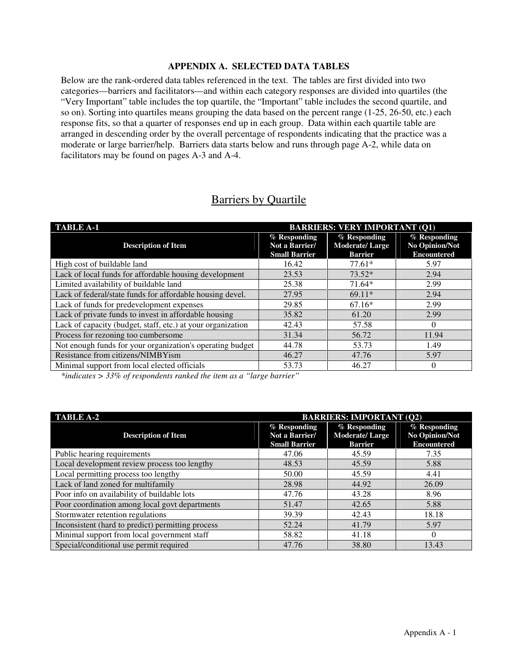# **APPENDIX A. SELECTED DATA TABLES**

Below are the rank-ordered data tables referenced in the text. The tables are first divided into two categories—barriers and facilitators—and within each category responses are divided into quartiles (the "Very Important" table includes the top quartile, the "Important" table includes the second quartile, and so on). Sorting into quartiles means grouping the data based on the percent range (1-25, 26-50, etc.) each response fits, so that a quarter of responses end up in each group. Data within each quartile table are arranged in descending order by the overall percentage of respondents indicating that the practice was a moderate or large barrier/help. Barriers data starts below and runs through page A-2, while data on facilitators may be found on pages A-3 and A-4.

# Barriers by Quartile

| <b>TABLE A-1</b><br><b>BARRIERS: VERY IMPORTANT (Q1)</b>    |                                                        |                                                         |                                                      |
|-------------------------------------------------------------|--------------------------------------------------------|---------------------------------------------------------|------------------------------------------------------|
| <b>Description of Item</b>                                  | % Responding<br>Not a Barrier/<br><b>Small Barrier</b> | % Responding<br><b>Moderate/Large</b><br><b>Barrier</b> | % Responding<br>No Opinion/Not<br><b>Encountered</b> |
| High cost of buildable land                                 | 16.42                                                  | $77.61*$                                                | 5.97                                                 |
| Lack of local funds for affordable housing development      | 23.53                                                  | $73.52*$                                                | 2.94                                                 |
| Limited availability of buildable land                      | 25.38                                                  | $71.64*$                                                | 2.99                                                 |
| Lack of federal/state funds for affordable housing devel.   | 27.95                                                  | $69.11*$                                                | 2.94                                                 |
| Lack of funds for predevelopment expenses                   | 29.85                                                  | $67.16*$                                                | 2.99                                                 |
| Lack of private funds to invest in affordable housing       | 35.82                                                  | 61.20                                                   | 2.99                                                 |
| Lack of capacity (budget, staff, etc.) at your organization | 42.43                                                  | 57.58                                                   | $\Omega$                                             |
| Process for rezoning too cumbersome                         | 31.34                                                  | 56.72                                                   | 11.94                                                |
| Not enough funds for your organization's operating budget   | 44.78                                                  | 53.73                                                   | 1.49                                                 |
| Resistance from citizens/NIMBYism                           | 46.27                                                  | 47.76                                                   | 5.97                                                 |
| Minimal support from local elected officials                | 53.73                                                  | 46.27                                                   | $\Omega$                                             |

*\*indicates > 33% of respondents ranked the item as a "large barrier"*

| <b>TABLE A-2</b>                                  | <b>BARRIERS: IMPORTANT (Q2)</b>                        |                                                         |                                                        |
|---------------------------------------------------|--------------------------------------------------------|---------------------------------------------------------|--------------------------------------------------------|
| <b>Description of Item</b>                        | % Responding<br>Not a Barrier/<br><b>Small Barrier</b> | % Responding<br><b>Moderate/Large</b><br><b>Barrier</b> | $%$ Responding<br>No Opinion/Not<br><b>Encountered</b> |
| Public hearing requirements                       | 47.06                                                  | 45.59                                                   | 7.35                                                   |
| Local development review process too lengthy      | 48.53                                                  | 45.59                                                   | 5.88                                                   |
| Local permitting process too lengthy              | 50.00                                                  | 45.59                                                   | 4.41                                                   |
| Lack of land zoned for multifamily                | 28.98                                                  | 44.92                                                   | 26.09                                                  |
| Poor info on availability of buildable lots       | 47.76                                                  | 43.28                                                   | 8.96                                                   |
| Poor coordination among local govt departments    | 51.47                                                  | 42.65                                                   | 5.88                                                   |
| Stormwater retention regulations                  | 39.39                                                  | 42.43                                                   | 18.18                                                  |
| Inconsistent (hard to predict) permitting process | 52.24                                                  | 41.79                                                   | 5.97                                                   |
| Minimal support from local government staff       | 58.82                                                  | 41.18                                                   | $\Omega$                                               |
| Special/conditional use permit required           | 47.76                                                  | 38.80                                                   | 13.43                                                  |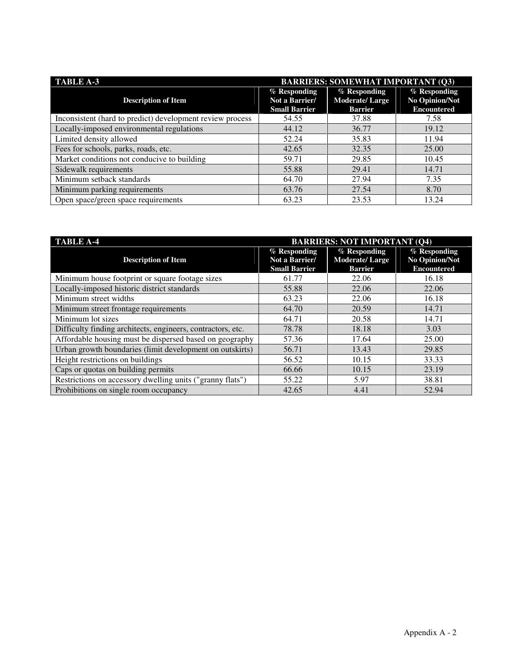| <b>TABLE A-3</b>                                          | <b>BARRIERS: SOMEWHAT IMPORTANT (Q3)</b>               |                                                         |                                                      |  |
|-----------------------------------------------------------|--------------------------------------------------------|---------------------------------------------------------|------------------------------------------------------|--|
| <b>Description of Item</b>                                | % Responding<br>Not a Barrier/<br><b>Small Barrier</b> | % Responding<br><b>Moderate/Large</b><br><b>Barrier</b> | % Responding<br>No Opinion/Not<br><b>Encountered</b> |  |
| Inconsistent (hard to predict) development review process | 54.55                                                  | 37.88                                                   | 7.58                                                 |  |
| Locally-imposed environmental regulations                 | 44.12                                                  | 36.77                                                   | 19.12                                                |  |
| Limited density allowed                                   | 52.24                                                  | 35.83                                                   | 11.94                                                |  |
| Fees for schools, parks, roads, etc.                      | 42.65                                                  | 32.35                                                   | 25.00                                                |  |
| Market conditions not conducive to building               | 59.71                                                  | 29.85                                                   | 10.45                                                |  |
| Sidewalk requirements                                     | 55.88                                                  | 29.41                                                   | 14.71                                                |  |
| Minimum setback standards                                 | 64.70                                                  | 27.94                                                   | 7.35                                                 |  |
| Minimum parking requirements                              | 63.76                                                  | 27.54                                                   | 8.70                                                 |  |
| Open space/green space requirements                       | 63.23                                                  | 23.53                                                   | 13.24                                                |  |

| <b>TABLE A-4</b><br><b>BARRIERS: NOT IMPORTANT (Q4)</b>     |                                                          |                                                         |                                                      |
|-------------------------------------------------------------|----------------------------------------------------------|---------------------------------------------------------|------------------------------------------------------|
| <b>Description of Item</b>                                  | $%$ Responding<br>Not a Barrier/<br><b>Small Barrier</b> | % Responding<br><b>Moderate/Large</b><br><b>Barrier</b> | % Responding<br>No Opinion/Not<br><b>Encountered</b> |
| Minimum house footprint or square footage sizes             | 61.77                                                    | 22.06                                                   | 16.18                                                |
| Locally-imposed historic district standards                 | 55.88                                                    | 22.06                                                   | 22.06                                                |
| Minimum street widths                                       | 63.23                                                    | 22.06                                                   | 16.18                                                |
| Minimum street frontage requirements                        | 64.70                                                    | 20.59                                                   | 14.71                                                |
| Minimum lot sizes                                           | 64.71                                                    | 20.58                                                   | 14.71                                                |
| Difficulty finding architects, engineers, contractors, etc. | 78.78                                                    | 18.18                                                   | 3.03                                                 |
| Affordable housing must be dispersed based on geography     | 57.36                                                    | 17.64                                                   | 25.00                                                |
| Urban growth boundaries (limit development on outskirts)    | 56.71                                                    | 13.43                                                   | 29.85                                                |
| Height restrictions on buildings                            | 56.52                                                    | 10.15                                                   | 33.33                                                |
| Caps or quotas on building permits                          | 66.66                                                    | 10.15                                                   | 23.19                                                |
| Restrictions on accessory dwelling units ("granny flats")   | 55.22                                                    | 5.97                                                    | 38.81                                                |
| Prohibitions on single room occupancy                       | 42.65                                                    | 4.41                                                    | 52.94                                                |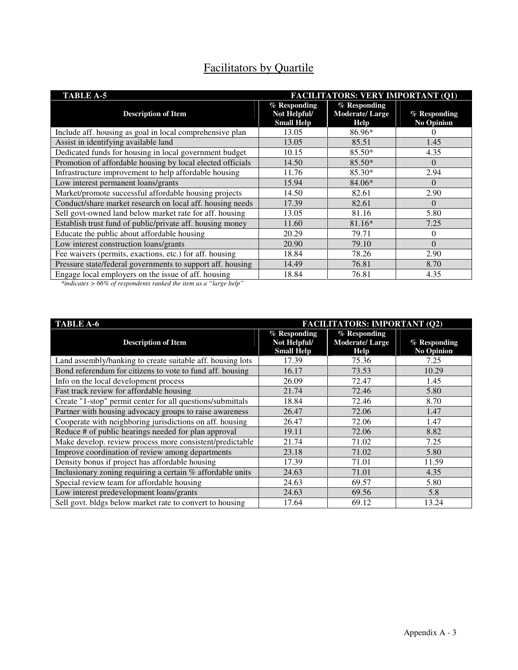| <b>Facilitators by Quartile</b> |  |  |
|---------------------------------|--|--|
|                                 |  |  |

| <b>TABLE A-5</b>                                           | <b>FACILITATORS: VERY IMPORTANT (Q1)</b>          |                                                 |                                   |  |
|------------------------------------------------------------|---------------------------------------------------|-------------------------------------------------|-----------------------------------|--|
| <b>Description of Item</b>                                 | % Responding<br>Not Helpful/<br><b>Small Help</b> | $%$ Responding<br><b>Moderate/Large</b><br>Help | % Responding<br><b>No Opinion</b> |  |
| Include aff. housing as goal in local comprehensive plan   | 13.05                                             | 86.96*                                          |                                   |  |
| Assist in identifying available land                       | 13.05                                             | 85.51                                           | 1.45                              |  |
| Dedicated funds for housing in local government budget     | 10.15                                             | $85.50*$                                        | 4.35                              |  |
| Promotion of affordable housing by local elected officials | 14.50                                             | $85.50*$                                        | $\Omega$                          |  |
| Infrastructure improvement to help affordable housing      | 11.76                                             | $85.30*$                                        | 2.94                              |  |
| Low interest permanent loans/grants                        | 15.94                                             | 84.06*                                          | $\Omega$                          |  |
| Market/promote successful affordable housing projects      | 14.50                                             | 82.61                                           | 2.90                              |  |
| Conduct/share market research on local aff. housing needs  | 17.39                                             | 82.61                                           | $\Omega$                          |  |
| Sell govt-owned land below market rate for aff. housing    | 13.05                                             | 81.16                                           | 5.80                              |  |
| Establish trust fund of public/private aff. housing money  | 11.60                                             | 81.16*                                          | 7.25                              |  |
| Educate the public about affordable housing                | 20.29                                             | 79.71                                           | 0                                 |  |
| Low interest construction loans/grants                     | 20.90                                             | 79.10                                           | $\Omega$                          |  |
| Fee waivers (permits, exactions, etc.) for aff. housing    | 18.84                                             | 78.26                                           | 2.90                              |  |
| Pressure state/federal governments to support aff. housing | 14.49                                             | 76.81                                           | 8.70                              |  |
| Engage local employers on the issue of aff. housing        | 18.84                                             | 76.81                                           | 4.35                              |  |

*\*indicates > 66% of respondents ranked the item as a "large help"* 

| <b>FACILITATORS: IMPORTANT (Q2)</b><br><b>TABLE A-6</b>    |                                                     |                                                 |                                     |
|------------------------------------------------------------|-----------------------------------------------------|-------------------------------------------------|-------------------------------------|
| <b>Description of Item</b>                                 | $%$ Responding<br>Not Helpful/<br><b>Small Help</b> | $%$ Responding<br><b>Moderate/Large</b><br>Help | $%$ Responding<br><b>No Opinion</b> |
| Land assembly/banking to create suitable aff. housing lots | 17.39                                               | 75.36                                           | 7.25                                |
| Bond referendum for citizens to vote to fund aff. housing  | 16.17                                               | 73.53                                           | 10.29                               |
| Info on the local development process                      | 26.09                                               | 72.47                                           | 1.45                                |
| Fast track review for affordable housing                   | 21.74                                               | 72.46                                           | 5.80                                |
| Create "1-stop" permit center for all questions/submittals | 18.84                                               | 72.46                                           | 8.70                                |
| Partner with housing advocacy groups to raise awareness    | 26.47                                               | 72.06                                           | 1.47                                |
| Cooperate with neighboring jurisdictions on aff. housing   | 26.47                                               | 72.06                                           | 1.47                                |
| Reduce # of public hearings needed for plan approval       | 19.11                                               | 72.06                                           | 8.82                                |
| Make develop. review process more consistent/predictable   | 21.74                                               | 71.02                                           | 7.25                                |
| Improve coordination of review among departments           | 23.18                                               | 71.02                                           | 5.80                                |
| Density bonus if project has affordable housing            | 17.39                                               | 71.01                                           | 11.59                               |
| Inclusionary zoning requiring a certain % affordable units | 24.63                                               | 71.01                                           | 4.35                                |
| Special review team for affordable housing                 | 24.63                                               | 69.57                                           | 5.80                                |
| Low interest predevelopment loans/grants                   | 24.63                                               | 69.56                                           | 5.8                                 |
| Sell govt. bldgs below market rate to convert to housing   | 17.64                                               | 69.12                                           | 13.24                               |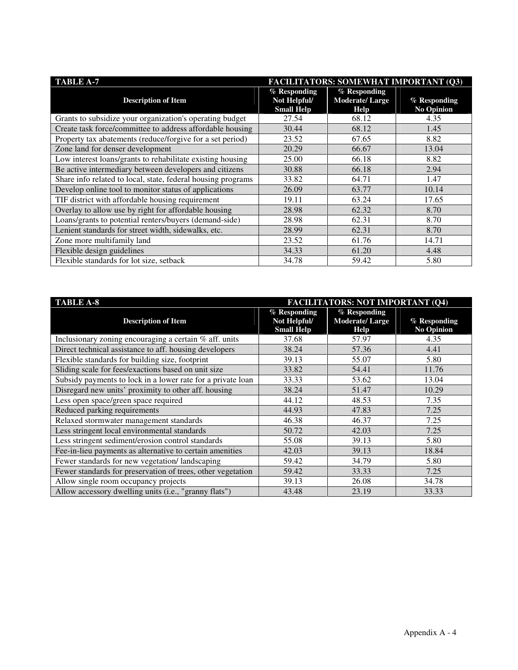| <b>TABLE A-7</b><br><b>FACILITATORS: SOMEWHAT IMPORTANT (Q3)</b> |                                                     |                                                 |                                   |
|------------------------------------------------------------------|-----------------------------------------------------|-------------------------------------------------|-----------------------------------|
| <b>Description of Item</b>                                       | $%$ Responding<br>Not Helpful/<br><b>Small Help</b> | $%$ Responding<br><b>Moderate/Large</b><br>Help | % Responding<br><b>No Opinion</b> |
| Grants to subsidize your organization's operating budget         | 27.54                                               | 68.12                                           | 4.35                              |
| Create task force/committee to address affordable housing        | 30.44                                               | 68.12                                           | 1.45                              |
| Property tax abatements (reduce/forgive for a set period)        | 23.52                                               | 67.65                                           | 8.82                              |
| Zone land for denser development                                 | 20.29                                               | 66.67                                           | 13.04                             |
| Low interest loans/grants to rehabilitate existing housing       | 25.00                                               | 66.18                                           | 8.82                              |
| Be active intermediary between developers and citizens           | 30.88                                               | 66.18                                           | 2.94                              |
| Share info related to local, state, federal housing programs     | 33.82                                               | 64.71                                           | 1.47                              |
| Develop online tool to monitor status of applications            | 26.09                                               | 63.77                                           | 10.14                             |
| TIF district with affordable housing requirement                 | 19.11                                               | 63.24                                           | 17.65                             |
| Overlay to allow use by right for affordable housing             | 28.98                                               | 62.32                                           | 8.70                              |
| Loans/grants to potential renters/buyers (demand-side)           | 28.98                                               | 62.31                                           | 8.70                              |
| Lenient standards for street width, sidewalks, etc.              | 28.99                                               | 62.31                                           | 8.70                              |
| Zone more multifamily land                                       | 23.52                                               | 61.76                                           | 14.71                             |
| Flexible design guidelines                                       | 34.33                                               | 61.20                                           | 4.48                              |
| Flexible standards for lot size, setback                         | 34.78                                               | 59.42                                           | 5.80                              |

| <b>TABLE A-8</b>                                            | <b>FACILITATORS: NOT IMPORTANT (Q4)</b>           |                                               |                                   |
|-------------------------------------------------------------|---------------------------------------------------|-----------------------------------------------|-----------------------------------|
| <b>Description of Item</b>                                  | % Responding<br>Not Helpful/<br><b>Small Help</b> | % Responding<br><b>Moderate/Large</b><br>Help | % Responding<br><b>No Opinion</b> |
| Inclusionary zoning encouraging a certain % aff. units      | 37.68                                             | 57.97                                         | 4.35                              |
| Direct technical assistance to aff. housing developers      | 38.24                                             | 57.36                                         | 4.41                              |
| Flexible standards for building size, footprint             | 39.13                                             | 55.07                                         | 5.80                              |
| Sliding scale for fees/exactions based on unit size         | 33.82                                             | 54.41                                         | 11.76                             |
| Subsidy payments to lock in a lower rate for a private loan | 33.33                                             | 53.62                                         | 13.04                             |
| Disregard new units' proximity to other aff. housing        | 38.24                                             | 51.47                                         | 10.29                             |
| Less open space/green space required                        | 44.12                                             | 48.53                                         | 7.35                              |
| Reduced parking requirements                                | 44.93                                             | 47.83                                         | 7.25                              |
| Relaxed stormwater management standards                     | 46.38                                             | 46.37                                         | 7.25                              |
| Less stringent local environmental standards                | 50.72                                             | 42.03                                         | 7.25                              |
| Less stringent sediment/erosion control standards           | 55.08                                             | 39.13                                         | 5.80                              |
| Fee-in-lieu payments as alternative to certain amenities    | 42.03                                             | 39.13                                         | 18.84                             |
| Fewer standards for new vegetation/landscaping              | 59.42                                             | 34.79                                         | 5.80                              |
| Fewer standards for preservation of trees, other vegetation | 59.42                                             | 33.33                                         | 7.25                              |
| Allow single room occupancy projects                        | 39.13                                             | 26.08                                         | 34.78                             |
| Allow accessory dwelling units (i.e., "granny flats")       | 43.48                                             | 23.19                                         | 33.33                             |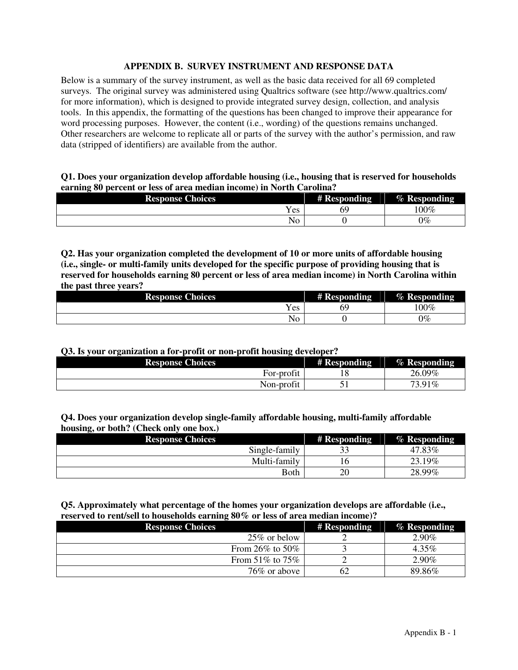### **APPENDIX B. SURVEY INSTRUMENT AND RESPONSE DATA**

Below is a summary of the survey instrument, as well as the basic data received for all 69 completed surveys. The original survey was administered using Qualtrics software (see http://www.qualtrics.com/ for more information), which is designed to provide integrated survey design, collection, and analysis tools. In this appendix, the formatting of the questions has been changed to improve their appearance for word processing purposes. However, the content (i.e., wording) of the questions remains unchanged. Other researchers are welcome to replicate all or parts of the survey with the author's permission, and raw data (stripped of identifiers) are available from the author.

### **Q1. Does your organization develop affordable housing (i.e., housing that is reserved for households earning 80 percent or less of area median income) in North Carolina?**

| <b>Response Choices</b> |               | # Responding<br>. . | % Responding |
|-------------------------|---------------|---------------------|--------------|
|                         | T 7<br>Y es   | 69                  | 100%         |
|                         | $\sim$<br>1NO |                     | 0%           |

**Q2. Has your organization completed the development of 10 or more units of affordable housing (i.e., single- or multi-family units developed for the specific purpose of providing housing that is reserved for households earning 80 percent or less of area median income) in North Carolina within the past three years?** 

|  | <b>Response Choices</b> |                                 | # Responding<br>$\sim$ | % Responding<br>$\sim$ |
|--|-------------------------|---------------------------------|------------------------|------------------------|
|  |                         | $\overline{\mathbf{x}}$<br>Y es | ৩১                     | $00\%$                 |
|  |                         | . T<br>Ν∩<br>1 I U              |                        | 0%                     |

#### **Q3. Is your organization a for-profit or non-profit housing developer?**

| <b>Response Choices</b> | # Responding | % Responding |
|-------------------------|--------------|--------------|
| $\sim$<br>For-profit    | ⊥∪           | 26.09%       |
| Non-profit              | ◡            | 73.91%       |

# **Q4. Does your organization develop single-family affordable housing, multi-family affordable housing, or both? (Check only one box.)**

| _<br><b>Response Choices</b> | # Responding | % Responding |
|------------------------------|--------------|--------------|
| Single-family                | ◡            | 47.83%       |
| Multi-family                 |              | 23.19%       |
| Both                         | 20           | 28.99%       |

# **Q5. Approximately what percentage of the homes your organization develops are affordable (i.e., reserved to rent/sell to households earning 80% or less of area median income)?**

| <b>Response Choices</b> | # Responding | <b>% Responding</b> |
|-------------------------|--------------|---------------------|
| $25\%$ or below         |              | 2.90%               |
| From 26% to 50%         |              | $4.35\%$            |
| From $51\%$ to $75\%$   |              | 2.90%               |
| 76\% or above           |              | 89.86%              |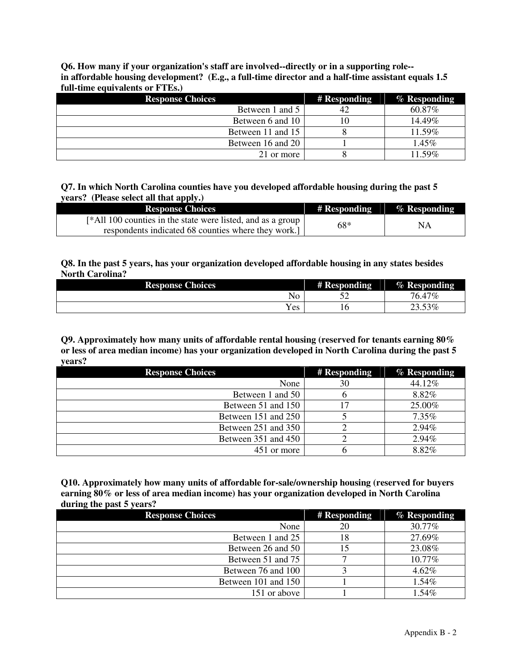**Q6. How many if your organization's staff are involved--directly or in a supporting role- in affordable housing development? (E.g., a full-time director and a half-time assistant equals 1.5 full-time equivalents or FTEs.)**

| <b>Response Choices</b> | # Responding | % Responding |
|-------------------------|--------------|--------------|
| Between 1 and 5         | 42           | 60.87\%      |
| Between 6 and 10        |              | $14.49\%$    |
| Between 11 and 15       |              | 11.59%       |
| Between 16 and 20       |              | $1.45\%$     |
| 21 or more              |              | 11.59%       |

**Q7. In which North Carolina counties have you developed affordable housing during the past 5 years? (Please select all that apply.)**

| <b>Response Choices</b>                                     | # Responding | % Responding |
|-------------------------------------------------------------|--------------|--------------|
| [*All 100 counties in the state were listed, and as a group | 68*          |              |
| respondents indicated 68 counties where they work.]         |              | NΑ           |

# **Q8. In the past 5 years, has your organization developed affordable housing in any states besides North Carolina?**

| <b>Response Choices</b> | # Responding | % Responding |
|-------------------------|--------------|--------------|
| No                      | Ε٥<br>◡      | 76.47%       |
| $v_{es}$                | ⊥∪           | $.53\%$      |

**Q9. Approximately how many units of affordable rental housing (reserved for tenants earning 80% or less of area median income) has your organization developed in North Carolina during the past 5 years?**

| <b>Response Choices</b> | # Responding | % Responding |
|-------------------------|--------------|--------------|
| None                    | 30           | 44.12%       |
| Between 1 and 50        |              | 8.82%        |
| Between 51 and 150      |              | 25.00%       |
| Between 151 and 250     |              | 7.35%        |
| Between 251 and 350     |              | 2.94%        |
| Between 351 and 450     |              | 2.94%        |
| 451 or more             |              | 8.82%        |

**Q10. Approximately how many units of affordable for-sale/ownership housing (reserved for buyers earning 80% or less of area median income) has your organization developed in North Carolina during the past 5 years?** 

| <b>Response Choices</b> | # Responding | % Responding |
|-------------------------|--------------|--------------|
| None                    | 20           | 30.77%       |
| Between 1 and 25        | 18           | 27.69%       |
| Between 26 and 50       |              | 23.08%       |
| Between 51 and 75       |              | 10.77%       |
| Between 76 and 100      |              | $4.62\%$     |
| Between 101 and 150     |              | 1.54%        |
| 151 or above            |              | $1.54\%$     |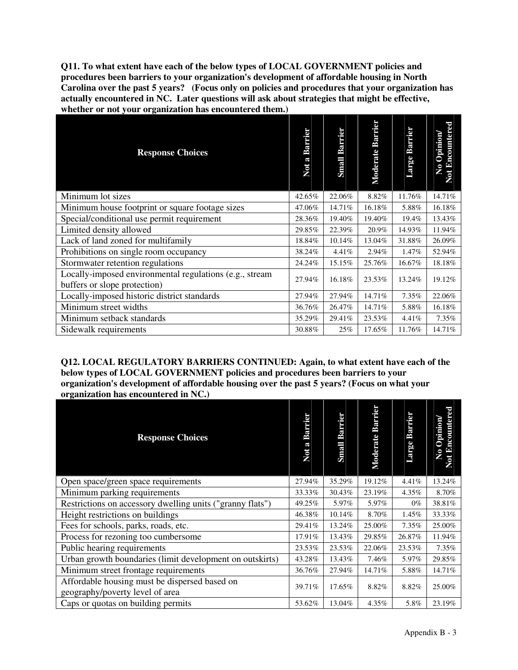**Q11. To what extent have each of the below types of LOCAL GOVERNMENT policies and procedures been barriers to your organization's development of affordable housing in North Carolina over the past 5 years? (Focus only on policies and procedures that your organization has actually encountered in NC. Later questions will ask about strategies that might be effective, whether or not your organization has encountered them.)** 

| <b>Response Choices</b>                                                                 | Not a Barrier | <b>Barrier</b><br>Small | <b>Barrier</b><br>Moderate | Barrier<br>Large | <b>Encountered</b><br>Opinion<br>$\mathbf{z}$<br>Not |
|-----------------------------------------------------------------------------------------|---------------|-------------------------|----------------------------|------------------|------------------------------------------------------|
| Minimum lot sizes                                                                       | 42.65%        | 22.06%                  | 8.82%                      | 11.76%           | 14.71%                                               |
| Minimum house footprint or square footage sizes                                         | 47.06%        | 14.71%                  | 16.18%                     | 5.88%            | 16.18%                                               |
| Special/conditional use permit requirement                                              | 28.36%        | 19.40%                  | 19.40%                     | 19.4%            | 13.43%                                               |
| Limited density allowed                                                                 | 29.85%        | 22.39%                  | 20.9%                      | 14.93%           | 11.94%                                               |
| Lack of land zoned for multifamily                                                      | 18.84%        | 10.14%                  | 13.04%                     | 31.88%           | 26.09%                                               |
| Prohibitions on single room occupancy                                                   | 38.24%        | 4.41%                   | 2.94%                      | 1.47%            | 52.94%                                               |
| Stormwater retention regulations                                                        | 24.24%        | 15.15%                  | 25.76%                     | 16.67%           | 18.18%                                               |
| Locally-imposed environmental regulations (e.g., stream<br>buffers or slope protection) | 27.94%        | 16.18%                  | 23.53%                     | 13.24%           | 19.12%                                               |
| Locally-imposed historic district standards                                             | 27.94%        | 27.94%                  | 14.71%                     | 7.35%            | 22.06%                                               |
| Minimum street widths                                                                   | 36.76%        | 26.47%                  | 14.71%                     | 5.88%            | 16.18%                                               |
| Minimum setback standards                                                               | 35.29%        | 29.41%                  | 23.53%                     | 4.41%            | 7.35%                                                |
| Sidewalk requirements                                                                   | 30.88%        | 25%                     | 17.65%                     | 11.76%           | 14.71%                                               |

**Q12. LOCAL REGULATORY BARRIERS CONTINUED: Again, to what extent have each of the below types of LOCAL GOVERNMENT policies and procedures been barriers to your organization's development of affordable housing over the past 5 years? (Focus on what your organization has encountered in NC.)** 

| <b>Response Choices</b>                                                          | Not a Barrier | Barrier<br>Small | <b>Barrier</b><br>Moderate | <b>Barrier</b><br>Large | Encountered<br>Opinion<br>$\mathbf{z}$<br>Not |
|----------------------------------------------------------------------------------|---------------|------------------|----------------------------|-------------------------|-----------------------------------------------|
| Open space/green space requirements                                              | 27.94%        | 35.29%           | 19.12%                     | 4.41%                   | 13.24%                                        |
| Minimum parking requirements                                                     | 33.33%        | 30.43%           | 23.19%                     | 4.35%                   | 8.70%                                         |
| Restrictions on accessory dwelling units ("granny flats")                        | 49.25%        | 5.97%            | 5.97%                      | $0\%$                   | 38.81%                                        |
| Height restrictions on buildings                                                 | 46.38%        | 10.14%           | 8.70%                      | 1.45%                   | 33.33%                                        |
| Fees for schools, parks, roads, etc.                                             | 29.41%        | 13.24%           | 25.00%                     | $7.35\%$                | 25.00%                                        |
| Process for rezoning too cumbersome                                              | 17.91%        | 13.43%           | 29.85%                     | 26.87%                  | 11.94%                                        |
| Public hearing requirements                                                      | 23.53%        | 23.53%           | 22.06%                     | 23.53%                  | 7.35%                                         |
| Urban growth boundaries (limit development on outskirts)                         | 43.28%        | 13.43%           | 7.46%                      | 5.97%                   | 29.85%                                        |
| Minimum street frontage requirements                                             | 36.76%        | 27.94%           | 14.71%                     | 5.88%                   | 14.71%                                        |
| Affordable housing must be dispersed based on<br>geography/poverty level of area | 39.71%        | 17.65%           | 8.82%                      | 8.82%                   | 25.00%                                        |
| Caps or quotas on building permits                                               | 53.62%        | 13.04%           | 4.35%                      | 5.8%                    | 23.19%                                        |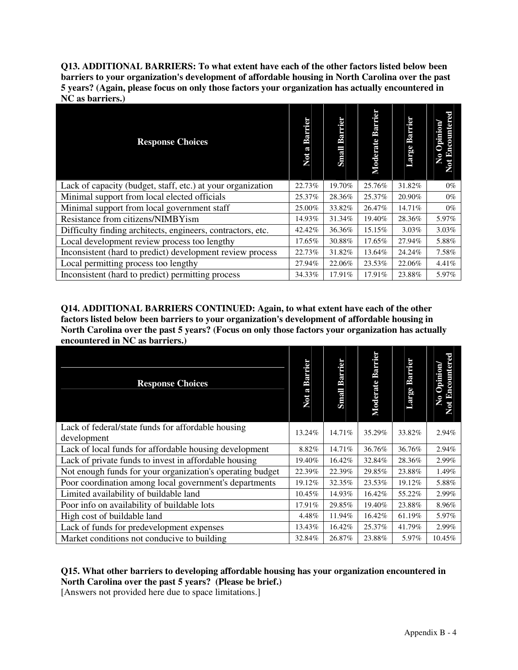**Q13. ADDITIONAL BARRIERS: To what extent have each of the other factors listed below been barriers to your organization's development of affordable housing in North Carolina over the past 5 years? (Again, please focus on only those factors your organization has actually encountered in NC as barriers.)** 

| <b>Response Choices</b>                                     | Not a Barrier | Barrier<br>Small | Barrier<br>Moderate | Barrier<br>Large | <b>Bncountered</b><br>pinion<br>0<br>$\mathfrak{a}$ |
|-------------------------------------------------------------|---------------|------------------|---------------------|------------------|-----------------------------------------------------|
| Lack of capacity (budget, staff, etc.) at your organization | 22.73%        | 19.70%           | 25.76%              | 31.82%           | $0\%$                                               |
| Minimal support from local elected officials                | 25.37%        | 28.36%           | 25.37%              | 20.90%           | $0\%$                                               |
| Minimal support from local government staff                 | 25.00%        | 33.82%           | 26.47%              | 14.71%           | $0\%$                                               |
| Resistance from citizens/NIMBYism                           | 14.93%        | 31.34%           | 19.40%              | 28.36%           | 5.97%                                               |
| Difficulty finding architects, engineers, contractors, etc. | 42.42%        | 36.36%           | 15.15%              | $3.03\%$         | 3.03%                                               |
| Local development review process too lengthy                | 17.65%        | 30.88%           | 17.65%              | 27.94%           | 5.88%                                               |
| Inconsistent (hard to predict) development review process   | 22.73%        | 31.82%           | 13.64%              | 24.24%           | 7.58%                                               |
| Local permitting process too lengthy                        | 27.94%        | 22.06%           | 23.53%              | 22.06%           | 4.41%                                               |
| Inconsistent (hard to predict) permitting process           | 34.33%        | 17.91%           | 17.91%              | 23.88%           | 5.97%                                               |

**Q14. ADDITIONAL BARRIERS CONTINUED: Again, to what extent have each of the other factors listed below been barriers to your organization's development of affordable housing in North Carolina over the past 5 years? (Focus on only those factors your organization has actually encountered in NC as barriers.)** 

| <b>Response Choices</b>                                   | Not a Barrier | <b>Barrier</b><br>Small | <b>Barrier</b><br>Moderate | Barrier<br>Large | <b>Not Encountered</b><br>Opinion<br>No |
|-----------------------------------------------------------|---------------|-------------------------|----------------------------|------------------|-----------------------------------------|
| Lack of federal/state funds for affordable housing        | 13.24%        | 14.71%                  | 35.29%                     | 33.82%           | 2.94%                                   |
| development                                               |               |                         |                            |                  |                                         |
| Lack of local funds for affordable housing development    | 8.82%         | 14.71%                  | 36.76%                     | 36.76%           | 2.94%                                   |
| Lack of private funds to invest in affordable housing     | 19.40%        | 16.42%                  | 32.84%                     | 28.36%           | 2.99%                                   |
| Not enough funds for your organization's operating budget | 22.39%        | 22.39%                  | 29.85%                     | 23.88%           | 1.49%                                   |
| Poor coordination among local government's departments    | 19.12%        | 32.35%                  | 23.53%                     | 19.12%           | 5.88%                                   |
| Limited availability of buildable land                    | 10.45%        | 14.93%                  | 16.42%                     | 55.22%           | 2.99%                                   |
| Poor info on availability of buildable lots               | 17.91%        | 29.85%                  | 19.40%                     | 23.88%           | 8.96%                                   |
| High cost of buildable land                               | 4.48%         | 11.94%                  | 16.42%                     | 61.19%           | 5.97%                                   |
| Lack of funds for predevelopment expenses                 | 13.43%        | 16.42%                  | 25.37%                     | 41.79%           | 2.99%                                   |
| Market conditions not conducive to building               | 32.84%        | 26.87%                  | 23.88%                     | 5.97%            | 10.45%                                  |

# **Q15. What other barriers to developing affordable housing has your organization encountered in**

**North Carolina over the past 5 years? (Please be brief.)** 

[Answers not provided here due to space limitations.]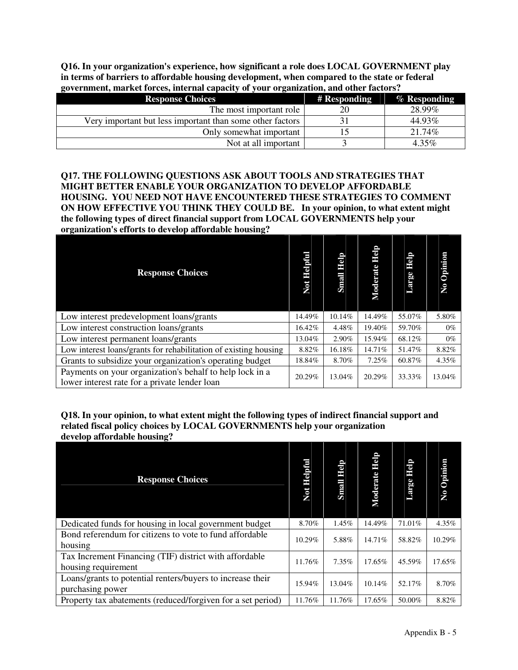**Q16. In your organization's experience, how significant a role does LOCAL GOVERNMENT play in terms of barriers to affordable housing development, when compared to the state or federal government, market forces, internal capacity of your organization, and other factors?** 

| <b>Response Choices</b>                                   | # Responding | % Responding |
|-----------------------------------------------------------|--------------|--------------|
| The most important role                                   |              | 28.99%       |
| Very important but less important than some other factors |              | 44.93%       |
| Only somewhat important                                   |              | 21.74%       |
| Not at all important                                      |              | $4.35\%$     |

**Q17. THE FOLLOWING QUESTIONS ASK ABOUT TOOLS AND STRATEGIES THAT MIGHT BETTER ENABLE YOUR ORGANIZATION TO DEVELOP AFFORDABLE HOUSING. YOU NEED NOT HAVE ENCOUNTERED THESE STRATEGIES TO COMMENT ON HOW EFFECTIVE YOU THINK THEY COULD BE. In your opinion, to what extent might the following types of direct financial support from LOCAL GOVERNMENTS help your organization's efforts to develop affordable housing?** 

| <b>Response Choices</b>                                                                                   | Not Helpful | <b>edil</b><br>Small | digil<br>Moderate | eloil<br>Large | Opinion<br>Σo |
|-----------------------------------------------------------------------------------------------------------|-------------|----------------------|-------------------|----------------|---------------|
| Low interest predevelopment loans/grants                                                                  | 14.49%      | 10.14%               | 14.49%            | 55.07%         | 5.80%         |
| Low interest construction loans/grants                                                                    | 16.42%      | 4.48%                | 19.40%            | 59.70%         | $0\%$         |
| Low interest permanent loans/grants                                                                       | 13.04%      | 2.90%                | 15.94%            | 68.12%         | $0\%$         |
| Low interest loans/grants for rehabilitation of existing housing                                          | 8.82%       | 16.18%               | 14.71%            | 51.47%         | 8.82%         |
| Grants to subsidize your organization's operating budget                                                  | 18.84%      | 8.70%                | 7.25%             | 60.87%         | 4.35%         |
| Payments on your organization's behalf to help lock in a<br>lower interest rate for a private lender loan | 20.29%      | 13.04%               | 20.29%            | 33.33%         | 13.04%        |

**Q18. In your opinion, to what extent might the following types of indirect financial support and related fiscal policy choices by LOCAL GOVERNMENTS help your organization develop affordable housing?** 

| o<br><b>Response Choices</b>                                                   | Not Helpful | dell<br><b>Small</b> | deli<br>Moderate | deli<br>Large | Opinion<br>$\mathbf{N}$ |
|--------------------------------------------------------------------------------|-------------|----------------------|------------------|---------------|-------------------------|
| Dedicated funds for housing in local government budget                         | 8.70%       | 1.45%                | 14.49%           | 71.01%        | 4.35%                   |
| Bond referendum for citizens to vote to fund affordable<br>housing             | 10.29%      | 5.88%                | 14.71%           | 58.82%        | 10.29%                  |
| Tax Increment Financing (TIF) district with affordable<br>housing requirement  | 11.76%      | 7.35%                | $17.65\%$        | 45.59%        | 17.65%                  |
| Loans/grants to potential renters/buyers to increase their<br>purchasing power | 15.94%      | 13.04%               | 10.14%           | 52.17%        | 8.70%                   |
| Property tax abatements (reduced/forgiven for a set period)                    | 11.76%      | 11.76%               | 17.65%           | 50.00%        | 8.82%                   |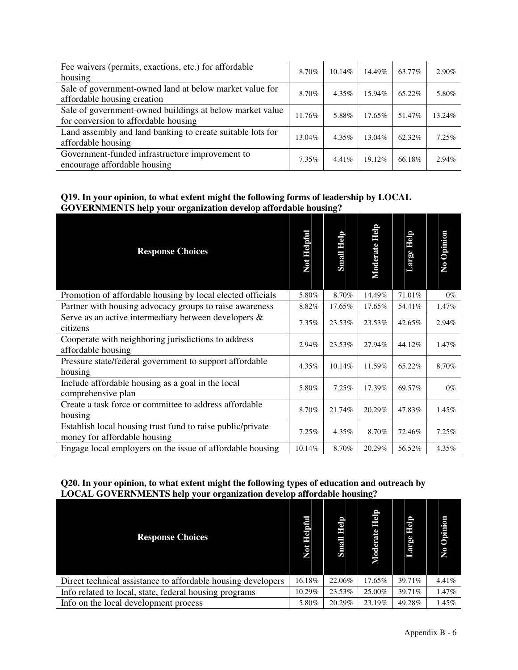| Fee waivers (permits, exactions, etc.) for affordable<br>housing                                 | 8.70%    | $10.14\%$ | 14.49%    | 63.77% | 2.90%    |
|--------------------------------------------------------------------------------------------------|----------|-----------|-----------|--------|----------|
| Sale of government-owned land at below market value for<br>affordable housing creation           | 8.70%    | $4.35\%$  | 15.94%    | 65.22% | 5.80%    |
| Sale of government-owned buildings at below market value<br>for conversion to affordable housing | 11.76%   | 5.88%     | $17.65\%$ | 51.47% | 13.24%   |
| Land assembly and land banking to create suitable lots for<br>affordable housing                 | 13.04%   | $4.35\%$  | 13.04%    | 62.32% | 7.25%    |
| Government-funded infrastructure improvement to<br>encourage affordable housing                  | $7.35\%$ | $4.41\%$  | 19.12%    | 66.18% | $2.94\%$ |

# **Q19. In your opinion, to what extent might the following forms of leadership by LOCAL GOVERNMENTS help your organization develop affordable housing?**

| <b>Response Choices</b>                                                                    | Not Helpful | <u>dieli</u><br>Small | diejp<br>Moderate | dieli<br><b>Large</b> | No Opinion |
|--------------------------------------------------------------------------------------------|-------------|-----------------------|-------------------|-----------------------|------------|
| Promotion of affordable housing by local elected officials                                 | 5.80%       | 8.70%                 | 14.49%            | 71.01%                | $0\%$      |
| Partner with housing advocacy groups to raise awareness                                    | 8.82%       | 17.65%                | 17.65%            | 54.41%                | 1.47%      |
| Serve as an active intermediary between developers $\&$<br>citizens                        | 7.35%       | 23.53%                | 23.53%            | 42.65%                | 2.94%      |
| Cooperate with neighboring jurisdictions to address<br>affordable housing                  | 2.94%       | 23.53%                | 27.94%            | 44.12%                | 1.47%      |
| Pressure state/federal government to support affordable<br>housing                         | 4.35%       | 10.14%                | 11.59%            | 65.22%                | 8.70%      |
| Include affordable housing as a goal in the local<br>comprehensive plan                    | 5.80%       | 7.25%                 | 17.39%            | 69.57%                | $0\%$      |
| Create a task force or committee to address affordable<br>housing                          | 8.70%       | 21.74%                | 20.29%            | 47.83%                | 1.45%      |
| Establish local housing trust fund to raise public/private<br>money for affordable housing | 7.25%       | 4.35%                 | 8.70%             | 72.46%                | 7.25%      |
| Engage local employers on the issue of affordable housing                                  | 10.14%      | 8.70%                 | 20.29%            | 56.52%                | 4.35%      |

# **Q20. In your opinion, to what extent might the following types of education and outreach by LOCAL GOVERNMENTS help your organization develop affordable housing?**

| <b>Response Choices</b>                                      | Not Helpful | drein<br>Small | <b>ele</b><br>aite<br>Б<br>Mod | der<br>Large | Opinion<br>Ş |
|--------------------------------------------------------------|-------------|----------------|--------------------------------|--------------|--------------|
| Direct technical assistance to affordable housing developers | 16.18%      | 22.06%         | 17.65%                         | 39.71%       | $4.41\%$     |
| Info related to local, state, federal housing programs       | 10.29%      | 23.53%         | 25.00%                         | 39.71%       | 1.47%        |
| Info on the local development process                        | 5.80%       | 20.29%         | 23.19%                         | 49.28%       | 1.45%        |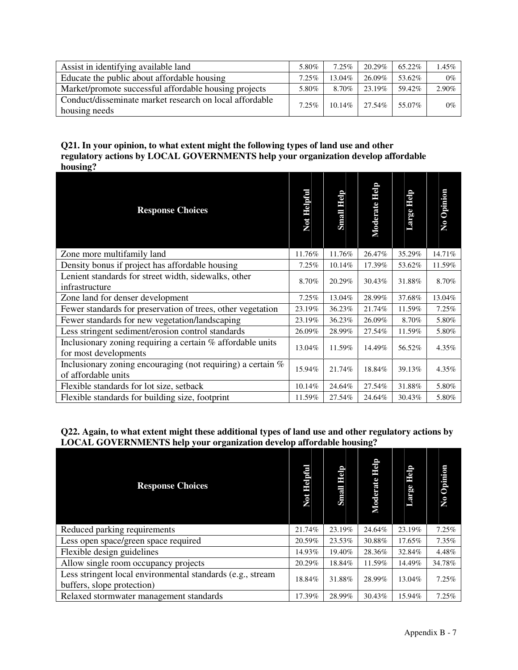| Assist in identifying available land                                     | 5.80%    | $7.25\%$  | 20.29% | 65.22% | 1.45% |
|--------------------------------------------------------------------------|----------|-----------|--------|--------|-------|
| Educate the public about affordable housing                              | $7.25\%$ | 13.04%    | 26.09% | 53.62% | $0\%$ |
| Market/promote successful affordable housing projects                    | 5.80%    | 8.70%     | 23.19% | 59.42% | 2.90% |
| Conduct/disseminate market research on local affordable<br>housing needs | 7.25%    | $10.14\%$ | 27.54% | 55.07% | $0\%$ |

# **Q21. In your opinion, to what extent might the following types of land use and other regulatory actions by LOCAL GOVERNMENTS help your organization develop affordable housing?**

| nvusing.                                                                            |             |            |                   |                |            |
|-------------------------------------------------------------------------------------|-------------|------------|-------------------|----------------|------------|
| <b>Response Choices</b>                                                             | Not Helpful | Small Help | drain<br>Moderate | dieli<br>Large | No Opinion |
| Zone more multifamily land                                                          | 11.76%      | 11.76%     | 26.47%            | 35.29%         | 14.71%     |
| Density bonus if project has affordable housing                                     | 7.25%       | 10.14%     | 17.39%            | 53.62%         | 11.59%     |
| Lenient standards for street width, sidewalks, other<br>infrastructure              | 8.70%       | 20.29%     | 30.43%            | 31.88%         | 8.70%      |
| Zone land for denser development                                                    | 7.25%       | 13.04%     | 28.99%            | 37.68%         | 13.04%     |
| Fewer standards for preservation of trees, other vegetation                         | 23.19%      | 36.23%     | 21.74%            | 11.59%         | 7.25%      |
| Fewer standards for new vegetation/landscaping                                      | 23.19%      | 36.23%     | 26.09%            | 8.70%          | 5.80%      |
| Less stringent sediment/erosion control standards                                   | 26.09%      | 28.99%     | 27.54%            | 11.59%         | 5.80%      |
| Inclusionary zoning requiring a certain % affordable units<br>for most developments | 13.04%      | 11.59%     | 14.49%            | 56.52%         | 4.35%      |
| Inclusionary zoning encouraging (not requiring) a certain %<br>of affordable units  | 15.94%      | 21.74%     | 18.84%            | 39.13%         | 4.35%      |
| Flexible standards for lot size, setback                                            | 10.14%      | 24.64%     | 27.54%            | 31.88%         | 5.80%      |
| Flexible standards for building size, footprint                                     | 11.59%      | 27.54%     | 24.64%            | 30.43%         | 5.80%      |

# **Q22. Again, to what extent might these additional types of land use and other regulatory actions by LOCAL GOVERNMENTS help your organization develop affordable housing?**

| <b>Response Choices</b>                                                                  | Not Helpful | djeji<br><b>Small</b> | epil<br>Moderate | deli<br>Large | Opinion<br>$\mathbf{N}$ |
|------------------------------------------------------------------------------------------|-------------|-----------------------|------------------|---------------|-------------------------|
| Reduced parking requirements                                                             | 21.74%      | 23.19%                | 24.64%           | 23.19%        | 7.25%                   |
| Less open space/green space required                                                     | 20.59%      | 23.53%                | 30.88%           | 17.65%        | 7.35%                   |
| Flexible design guidelines                                                               | 14.93%      | 19.40%                | 28.36%           | 32.84%        | 4.48%                   |
| Allow single room occupancy projects                                                     | 20.29%      | 18.84%                | 11.59%           | 14.49%        | 34.78%                  |
| Less stringent local environmental standards (e.g., stream<br>buffers, slope protection) | 18.84%      | 31.88%                | 28.99%           | 13.04%        | 7.25%                   |
| Relaxed stormwater management standards                                                  | 17.39%      | 28.99%                | 30.43%           | 15.94%        | 7.25%                   |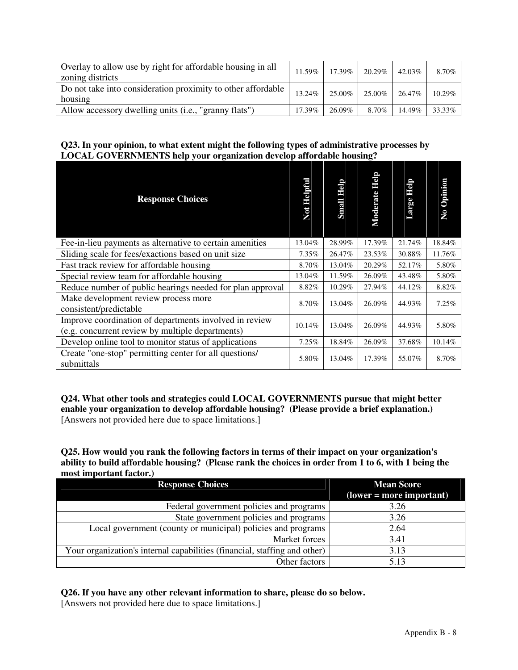| Overlay to allow use by right for affordable housing in all<br>zoning districts | 11.59% |        | $17.39\%$   20.29% | 42.03% | 8.70%  |
|---------------------------------------------------------------------------------|--------|--------|--------------------|--------|--------|
| Do not take into consideration proximity to other affordable<br>housing         | 13.24% | 25.00% | 25.00%             | 26.47% | 10.29% |
| Allow accessory dwelling units (i.e., "granny flats")                           | 17.39% | 26.09% | 8.70%              | 14.49% | 33.33% |

# **Q23. In your opinion, to what extent might the following types of administrative processes by LOCAL GOVERNMENTS help your organization develop affordable housing?**

| <b>Response Choices</b>                                                                                    | Not Helpful | Help<br>Small | deli<br>Moderate | deli<br>El<br>Large | Opinion<br>$\overline{\mathsf{X}}$ |
|------------------------------------------------------------------------------------------------------------|-------------|---------------|------------------|---------------------|------------------------------------|
| Fee-in-lieu payments as alternative to certain amenities                                                   | 13.04%      | 28.99%        | 17.39%           | 21.74%              | 18.84%                             |
| Sliding scale for fees/exactions based on unit size                                                        | $7.35\%$    | 26.47%        | 23.53%           | 30.88%              | 11.76%                             |
| Fast track review for affordable housing                                                                   | 8.70%       | 13.04%        | 20.29%           | 52.17%              | 5.80%                              |
| Special review team for affordable housing                                                                 | 13.04%      | 11.59%        | 26.09%           | 43.48%              | 5.80%                              |
| Reduce number of public hearings needed for plan approval                                                  | 8.82%       | 10.29%        | 27.94%           | 44.12%              | 8.82%                              |
| Make development review process more<br>consistent/predictable                                             | 8.70%       | 13.04%        | 26.09%           | 44.93%              | 7.25%                              |
| Improve coordination of departments involved in review<br>(e.g. concurrent review by multiple departments) | 10.14%      | 13.04%        | 26.09%           | 44.93%              | 5.80%                              |
| Develop online tool to monitor status of applications                                                      | 7.25%       | 18.84%        | 26.09%           | 37.68%              | 10.14%                             |
| Create "one-stop" permitting center for all questions/<br>submittals                                       | 5.80%       | 13.04%        | 17.39%           | 55.07%              | 8.70%                              |

**Q24. What other tools and strategies could LOCAL GOVERNMENTS pursue that might better enable your organization to develop affordable housing? (Please provide a brief explanation.)**  [Answers not provided here due to space limitations.]

**Q25. How would you rank the following factors in terms of their impact on your organization's ability to build affordable housing? (Please rank the choices in order from 1 to 6, with 1 being the most important factor.)** 

| <b>Response Choices</b>                                                   | <b>Mean Score</b>                   |
|---------------------------------------------------------------------------|-------------------------------------|
|                                                                           | $\textbf{(lower = more important)}$ |
| Federal government policies and programs                                  | 3.26                                |
| State government policies and programs                                    | 3.26                                |
| Local government (county or municipal) policies and programs              | 2.64                                |
| Market forces                                                             | 3.41                                |
| Your organization's internal capabilities (financial, staffing and other) | 3.13                                |
| Other factors                                                             | 5.13                                |

**Q26. If you have any other relevant information to share, please do so below.** 

[Answers not provided here due to space limitations.]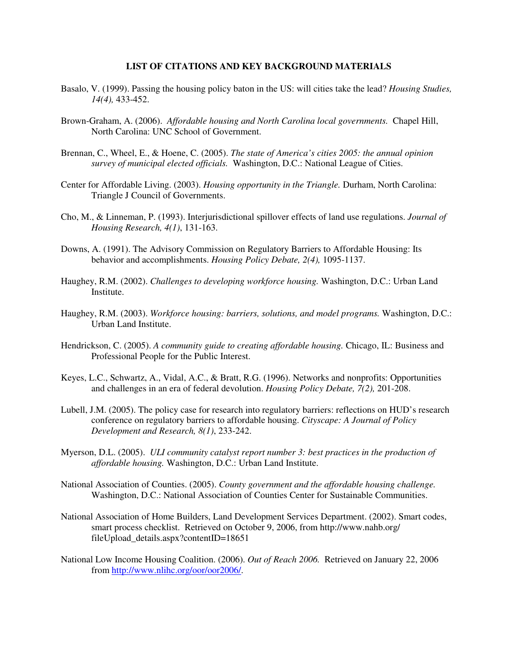#### **LIST OF CITATIONS AND KEY BACKGROUND MATERIALS**

- Basalo, V. (1999). Passing the housing policy baton in the US: will cities take the lead? *Housing Studies, 14(4),* 433-452.
- Brown-Graham, A. (2006). *Affordable housing and North Carolina local governments.* Chapel Hill, North Carolina: UNC School of Government.
- Brennan, C., Wheel, E., & Hoene, C. (2005). *The state of America's cities 2005: the annual opinion survey of municipal elected officials.* Washington, D.C.: National League of Cities.
- Center for Affordable Living. (2003). *Housing opportunity in the Triangle.* Durham, North Carolina: Triangle J Council of Governments.
- Cho, M., & Linneman, P. (1993). Interjurisdictional spillover effects of land use regulations. *Journal of Housing Research, 4(1)*, 131-163.
- Downs, A. (1991). The Advisory Commission on Regulatory Barriers to Affordable Housing: Its behavior and accomplishments. *Housing Policy Debate, 2(4),* 1095-1137.
- Haughey, R.M. (2002). *Challenges to developing workforce housing.* Washington, D.C.: Urban Land Institute.
- Haughey, R.M. (2003). *Workforce housing: barriers, solutions, and model programs.* Washington, D.C.: Urban Land Institute.
- Hendrickson, C. (2005). *A community guide to creating affordable housing.* Chicago, IL: Business and Professional People for the Public Interest.
- Keyes, L.C., Schwartz, A., Vidal, A.C., & Bratt, R.G. (1996). Networks and nonprofits: Opportunities and challenges in an era of federal devolution. *Housing Policy Debate, 7(2),* 201-208.
- Lubell, J.M. (2005). The policy case for research into regulatory barriers: reflections on HUD's research conference on regulatory barriers to affordable housing. *Cityscape: A Journal of Policy Development and Research, 8(1)*, 233-242.
- Myerson, D.L. (2005). *ULI community catalyst report number 3: best practices in the production of affordable housing.* Washington, D.C.: Urban Land Institute.
- National Association of Counties. (2005). *County government and the affordable housing challenge.* Washington, D.C.: National Association of Counties Center for Sustainable Communities.
- National Association of Home Builders, Land Development Services Department. (2002). Smart codes, smart process checklist. Retrieved on October 9, 2006, from http://www.nahb.org/ fileUpload\_details.aspx?contentID=18651
- National Low Income Housing Coalition. (2006). *Out of Reach 2006.* Retrieved on January 22, 2006 from http://www.nlihc.org/oor/oor2006/.